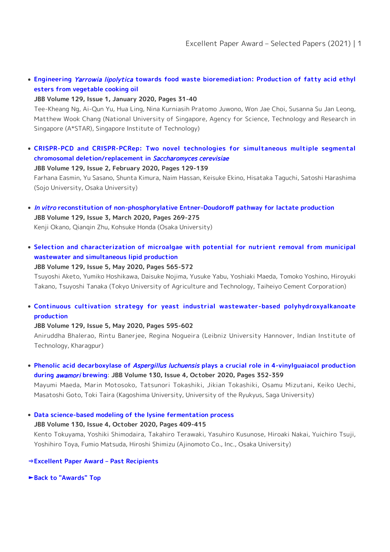**[Engineering](https://doi.org/10.1016/j.jbiosc.2019.06.009)** [Yarrowia lipolytica](https://doi.org/10.1016/j.jbiosc.2019.06.009) **[towards food waste bioremediation: Production of fatty acid ethyl](https://doi.org/10.1016/j.jbiosc.2019.06.009) [esters from vegetable cooking oil](https://doi.org/10.1016/j.jbiosc.2019.06.009)**

## **JBB Volume 129, Issue 1, January 2020, Pages 31-40**

Tee-Kheang Ng, Ai-Qun Yu, Hua Ling, Nina Kurniasih Pratomo Juwono, Won Jae Choi, Susanna Su Jan Leong, Matthew Wook Chang (National University of Singapore, Agency for Science, Technology and Research in Singapore (A\*STAR), Singapore Institute of Technology)

**[CRISPR-PCD and CRISPR-PCRep: Two novel technologies for simultaneous multiple segmental](https://doi.org/10.1016/j.jbiosc.2019.08.004) [chromosomal deletion/replacement in](https://doi.org/10.1016/j.jbiosc.2019.08.004)** [Saccharomyces cerevisiae](https://doi.org/10.1016/j.jbiosc.2019.08.004)

## **JBB Volume 129, Issue 2, February 2020, Pages 129-139**

Farhana Easmin, Yu Sasano, Shunta Kimura, Naim Hassan, Keisuke Ekino, Hisataka Taguchi, Satoshi Harashima (Sojo University, Osaka University)

- [In vitro](https://doi.org/10.1016/j.jbiosc.2019.09.010) **[reconstitution of non-phosphorylative Entner–Doudoroff pathway for lactate production](https://doi.org/10.1016/j.jbiosc.2019.09.010) JBB Volume 129, Issue 3, March 2020, Pages 269-275** Kenji Okano, Qianqin Zhu, Kohsuke Honda (Osaka University)
- **[Selection and characterization of microalgae with potential for nutrient removal from municipal](https://doi.org/10.1016/j.jbiosc.2019.12.004) [wastewater and simultaneous lipid production](https://doi.org/10.1016/j.jbiosc.2019.12.004)**

## **JBB Volume 129, Issue 5, May 2020, Pages 565-572**

Tsuyoshi Aketo, Yumiko Hoshikawa, Daisuke Nojima, Yusuke Yabu, Yoshiaki Maeda, Tomoko Yoshino, Hiroyuki Takano, Tsuyoshi Tanaka (Tokyo University of Agriculture and Technology, Taiheiyo Cement Corporation)

**[Continuous cultivation strategy for yeast industrial wastewater-based polyhydroxyalkanoate](https://doi.org/10.1016/j.jbiosc.2019.11.006) [production](https://doi.org/10.1016/j.jbiosc.2019.11.006)**

## **JBB Volume 129, Issue 5, May 2020, Pages 595-602**

Aniruddha Bhalerao, Rintu Banerjee, Regina Nogueira (Leibniz University Hannover, Indian Institute of Technology, Kharagpur)

**[Phenolic acid decarboxylase of](https://doi.org/10.1016/j.jbiosc.2020.05.004)** [Aspergillus luchuensis](https://doi.org/10.1016/j.jbiosc.2020.05.004) **[plays a crucial role in 4-vinylguaiacol production](https://doi.org/10.1016/j.jbiosc.2020.05.004) [during](https://doi.org/10.1016/j.jbiosc.2020.05.004)** [awamori](https://doi.org/10.1016/j.jbiosc.2020.05.004) **[brewing](https://doi.org/10.1016/j.jbiosc.2020.05.004)**: **JBB Volume 130, Issue 4, October 2020, Pages 352-359**

Mayumi Maeda, Marin Motosoko, Tatsunori Tokashiki, Jikian Tokashiki, Osamu Mizutani, Keiko Uechi, Masatoshi Goto, Toki Taira (Kagoshima University, University of the Ryukyus, Saga University)

**[Data science-based modeling of the lysine fermentation process](https://doi.org/10.1016/j.jbiosc.2020.06.011)**

**JBB Volume 130, Issue 4, October 2020, Pages 409-415** Kento Tokuyama, Yoshiki Shimodaira, Takahiro Terawaki, Yasuhiro Kusunose, Hiroaki Nakai, Yuichiro Tsuji, Yoshihiro Toya, Fumio Matsuda, Hiroshi Shimizu (Ajinomoto Co., Inc., Osaka University)

**[⇒Excellent Paper Award – Past Recipients](https://www.sbj.or.jp/e/about_awards_paper_award_list.html)**

**[►Back to "Awards" Top](https://www.sbj.or.jp/e/about_awards.html)**